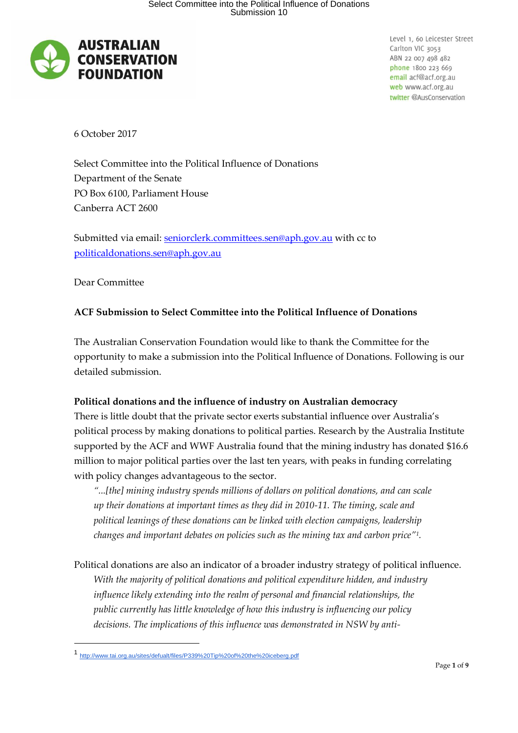

6 October 2017

Select Committee into the Political Influence of Donations Department of the Senate PO Box 6100, Parliament House Canberra ACT 2600

Submitted via email: [seniorclerk.committees.sen@aph.gov.au](mailto:seniorclerk.committees.sen@aph.gov.au) with cc to [politicaldonations.sen@aph.gov.au](mailto:politicaldonations.sen@aph.gov.au)

Dear Committee

-

# **ACF Submission to Select Committee into the Political Influence of Donations**

The Australian Conservation Foundation would like to thank the Committee for the opportunity to make a submission into the Political Influence of Donations. Following is our detailed submission.

# **Political donations and the influence of industry on Australian democracy**

There is little doubt that the private sector exerts substantial influence over Australia's political process by making donations to political parties. Research by the Australia Institute supported by the ACF and WWF Australia found that the mining industry has donated \$16.6 million to major political parties over the last ten years, with peaks in funding correlating with policy changes advantageous to the sector.

*"...[the] mining industry spends millions of dollars on political donations, and can scale up their donations at important times as they did in 2010-11. The timing, scale and political leanings of these donations can be linked with election campaigns, leadership changes and important debates on policies such as the mining tax and carbon price"<sup>1</sup> .*

Political donations are also an indicator of a broader industry strategy of political influence. *With the majority of political donations and political expenditure hidden, and industry influence likely extending into the realm of personal and financial relationships, the public currently has little knowledge of how this industry is influencing our policy decisions. The implications of this influence was demonstrated in NSW by anti-*

<sup>1</sup> <http://www.tai.org.au/sites/defualt/files/P339%20Tip%20of%20the%20iceberg.pdf>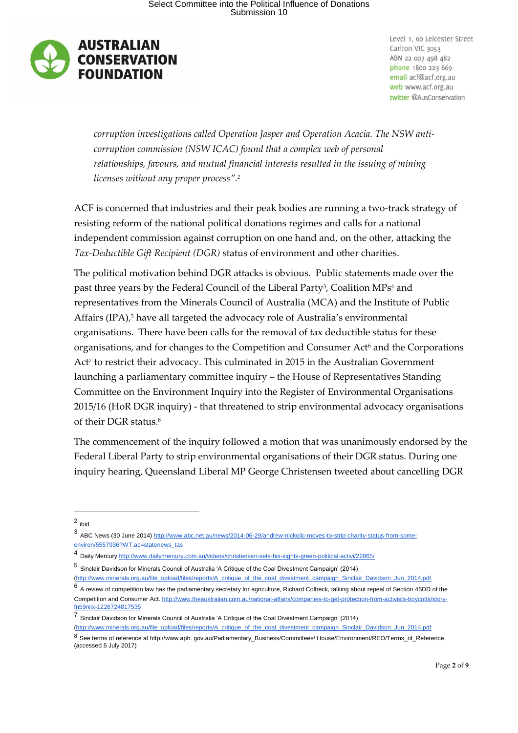

*corruption investigations called Operation Jasper and Operation Acacia. The NSW anticorruption commission (NSW ICAC) found that a complex web of personal relationships, favours, and mutual financial interests resulted in the issuing of mining licenses without any proper process".<sup>2</sup>*

ACF is concerned that industries and their peak bodies are running a two-track strategy of resisting reform of the national political donations regimes and calls for a national independent commission against corruption on one hand and, on the other, attacking the *Tax-Deductible Gift Recipient (DGR)* status of environment and other charities.

The political motivation behind DGR attacks is obvious. Public statements made over the past three years by the Federal Council of the Liberal Party<sup>3</sup>, Coalition MPs<sup>4</sup> and representatives from the Minerals Council of Australia (MCA) and the Institute of Public Affairs (IPA),<sup>5</sup> have all targeted the advocacy role of Australia's environmental organisations. There have been calls for the removal of tax deductible status for these organisations, and for changes to the Competition and Consumer Act<sup>6</sup> and the Corporations Act<sup>7</sup> to restrict their advocacy. This culminated in 2015 in the Australian Government launching a parliamentary committee inquiry – the House of Representatives Standing Committee on the Environment Inquiry into the Register of Environmental Organisations 2015/16 (HoR DGR inquiry) - that threatened to strip environmental advocacy organisations of their DGR status.<sup>8</sup>

The commencement of the inquiry followed a motion that was unanimously endorsed by the Federal Liberal Party to strip environmental organisations of their DGR status. During one inquiry hearing, Queensland Liberal MP George Christensen tweeted about cancelling DGR

2 ibid

-

[\(http://www.minerals.org.au/file\\_upload/files/reports/A\\_critique\\_of\\_the\\_coal\\_divestment\\_campaign\\_Sinclair\\_Davidson\\_Jun\\_2014.pdf](http://www.minerals.org.au/file_upload/files/reports/A_critique_of_the_coal_divestment_campaign_Sinclair_Davidson_Jun_2014.pdf)

<sup>3</sup> ABC News (30 June 2014) [http://www.abc.net.au/news/2014-06-29/andrew-nickolic-moves-to-strip-charity-status-from-some](http://www.abc.net.au/news/2014-06-29/andrew-nickolic-moves-to-strip-charity-status-from-some-environ/5557936?WT.ac=statenews_tas)[environ/5557936?WT.ac=statenews\\_tas](http://www.abc.net.au/news/2014-06-29/andrew-nickolic-moves-to-strip-charity-status-from-some-environ/5557936?WT.ac=statenews_tas)

<sup>4</sup> Daily Mercury <http://www.dailymercury.com.au/videos/christensen-sets-his-sights-green-political-activi/22865/>

<sup>5</sup> Sinclair Davidson for Minerals Council of Australia 'A Critique of the Coal Divestment Campaign' (2014) [\(http://www.minerals.org.au/file\\_upload/files/reports/A\\_critique\\_of\\_the\\_coal\\_divestment\\_campaign\\_Sinclair\\_Davidson\\_Jun\\_2014.pdf](http://www.minerals.org.au/file_upload/files/reports/A_critique_of_the_coal_divestment_campaign_Sinclair_Davidson_Jun_2014.pdf)

<sup>6</sup> A review of competition law has the parliamentary secretary for agriculture, Richard Colbeck, talking about repeal of Section 45DD of the Competition and Consumer Ac[t.](http://www.theaustralian.com.au/national-affairs/companies-to-get-protection-from-activists-boycotts/story-fn59niix-1226724817535) [http://www.theaustralian.com.au/national-affairs/companies-to-get-protection-from-activists-boycotts/story](http://www.theaustralian.com.au/national-affairs/companies-to-get-protection-from-activists-boycotts/story-fn59niix-1226724817535)[fn59niix-1226724817535](http://www.theaustralian.com.au/national-affairs/companies-to-get-protection-from-activists-boycotts/story-fn59niix-1226724817535)

<sup>7</sup> Sinclair Davidson for Minerals Council of Australia 'A Critique of the Coal Divestment Campaign' (2014)

<sup>8</sup> See terms of reference at http://www.aph. gov.au/Parliamentary\_Business/Committees/ House/Environment/REO/Terms\_of\_Reference (accessed 5 July 2017)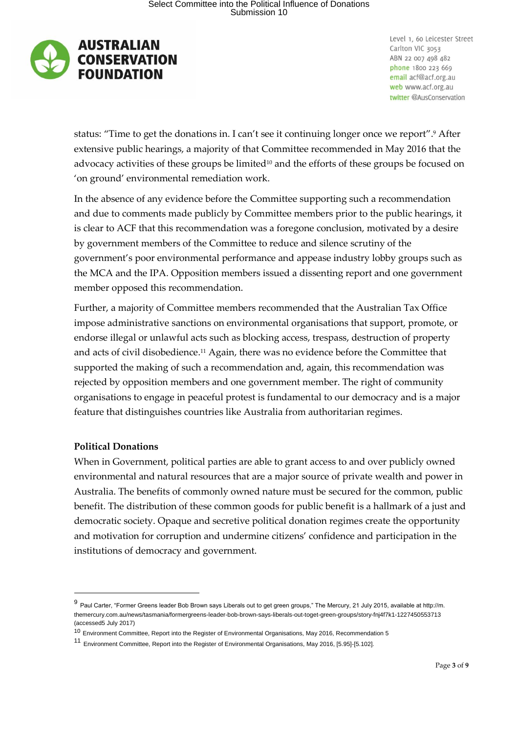

status: "Time to get the donations in. I can't see it continuing longer once we report". <sup>9</sup> After extensive public hearings, a majority of that Committee recommended in May 2016 that the advocacy activities of these groups be limited $10$  and the efforts of these groups be focused on 'on ground' environmental remediation work.

In the absence of any evidence before the Committee supporting such a recommendation and due to comments made publicly by Committee members prior to the public hearings, it is clear to ACF that this recommendation was a foregone conclusion, motivated by a desire by government members of the Committee to reduce and silence scrutiny of the government's poor environmental performance and appease industry lobby groups such as the MCA and the IPA. Opposition members issued a dissenting report and one government member opposed this recommendation.

Further, a majority of Committee members recommended that the Australian Tax Office impose administrative sanctions on environmental organisations that support, promote, or endorse illegal or unlawful acts such as blocking access, trespass, destruction of property and acts of civil disobedience.<sup>11</sup> Again, there was no evidence before the Committee that supported the making of such a recommendation and, again, this recommendation was rejected by opposition members and one government member. The right of community organisations to engage in peaceful protest is fundamental to our democracy and is a major feature that distinguishes countries like Australia from authoritarian regimes.

## **Political Donations**

-

When in Government, political parties are able to grant access to and over publicly owned environmental and natural resources that are a major source of private wealth and power in Australia. The benefits of commonly owned nature must be secured for the common, public benefit. The distribution of these common goods for public benefit is a hallmark of a just and democratic society. Opaque and secretive political donation regimes create the opportunity and motivation for corruption and undermine citizens' confidence and participation in the institutions of democracy and government.

<sup>&</sup>lt;sup>9</sup> Paul Carter, "Former Greens leader Bob Brown says Liberals out to get green groups," The Mercury, 21 July 2015, available at http://m. themercury.com.au/news/tasmania/formergreens-leader-bob-brown-says-liberals-out-toget-green-groups/story-fnj4f7k1-1227450553713 (accessed5 July 2017)

<sup>10</sup> Environment Committee, Report into the Register of Environmental Organisations, May 2016, Recommendation 5

<sup>11</sup> Environment Committee, Report into the Register of Environmental Organisations, May 2016, [5.95]-[5.102].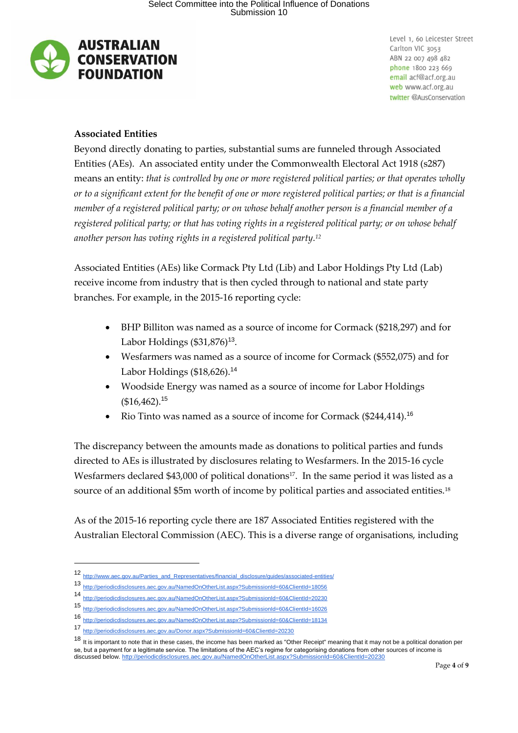

## **Associated Entities**

Beyond directly donating to parties, substantial sums are funneled through Associated Entities (AEs). An associated entity under the Commonwealth Electoral Act 1918 (s287) means an entity: *that is controlled by one or more registered political parties; or that operates wholly or to a significant extent for the benefit of one or more registered political parties; or that is a financial member of a registered political party; or on whose behalf another person is a financial member of a registered political party; or that has voting rights in a registered political party; or on whose behalf another person has voting rights in a registered political party.<sup>12</sup>*

Associated Entities (AEs) like Cormack Pty Ltd (Lib) and Labor Holdings Pty Ltd (Lab) receive income from industry that is then cycled through to national and state party branches. For example, in the 2015-16 reporting cycle:

- BHP Billiton was named as a source of income for Cormack (\$218,297) and for Labor Holdings (\$31,876)<sup>13</sup>.
- Wesfarmers was named as a source of income for Cormack (\$552,075) and for Labor Holdings (\$18,626).<sup>14</sup>
- Woodside Energy was named as a source of income for Labor Holdings  $($16,462).$ <sup>15</sup>
- Rio Tinto was named as a source of income for Cormack (\$244,414).<sup>16</sup>

The discrepancy between the amounts made as donations to political parties and funds directed to AEs is illustrated by disclosures relating to Wesfarmers. In the 2015-16 cycle Wesfarmers declared \$43,000 of political donations<sup>17</sup>. In the same period it was listed as a source of an additional \$5m worth of income by political parties and associated entities.<sup>18</sup>

As of the 2015-16 reporting cycle there are 187 Associated Entities registered with the Australian Electoral Commission (AEC). This is a diverse range of organisations, including

-

<sup>12</sup> [http://www.aec.gov.au/Parties\\_and\\_Representatives/financial\\_disclosure/guides/associated-entities/](http://www.aec.gov.au/Parties_and_Representatives/financial_disclosure/guides/associated-entities/)

<sup>13</sup> <http://periodicdisclosures.aec.gov.au/NamedOnOtherList.aspx?SubmissionId=60&ClientId=18056>

<sup>14</sup> <http://periodicdisclosures.aec.gov.au/NamedOnOtherList.aspx?SubmissionId=60&ClientId=20230>

<sup>15</sup> <http://periodicdisclosures.aec.gov.au/NamedOnOtherList.aspx?SubmissionId=60&ClientId=16026>

<sup>16</sup> <http://periodicdisclosures.aec.gov.au/NamedOnOtherList.aspx?SubmissionId=60&ClientId=18134>

<sup>17</sup> <http://periodicdisclosures.aec.gov.au/Donor.aspx?SubmissionId=60&ClientId=20230>

<sup>18</sup> It is important to note that in these cases, the income has been marked as "Other Receipt" meaning that it may not be a political donation per se, but a payment for a legitimate service. The limitations of the AEC's regime for categorising donations from other sources of income is discussed below. <http://periodicdisclosures.aec.gov.au/NamedOnOtherList.aspx?SubmissionId=60&ClientId=20230>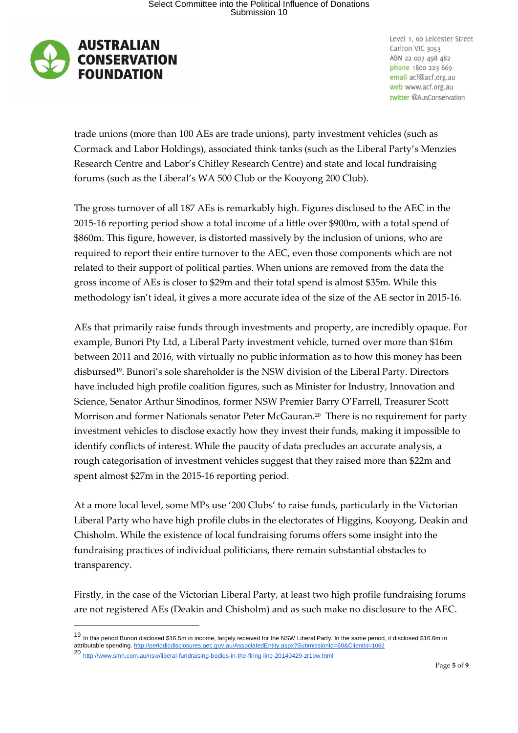

trade unions (more than 100 AEs are trade unions), party investment vehicles (such as Cormack and Labor Holdings), associated think tanks (such as the Liberal Party's Menzies Research Centre and Labor's Chifley Research Centre) and state and local fundraising forums (such as the Liberal's WA 500 Club or the Kooyong 200 Club).

The gross turnover of all 187 AEs is remarkably high. Figures disclosed to the AEC in the 2015-16 reporting period show a total income of a little over \$900m, with a total spend of \$860m. This figure, however, is distorted massively by the inclusion of unions, who are required to report their entire turnover to the AEC, even those components which are not related to their support of political parties. When unions are removed from the data the gross income of AEs is closer to \$29m and their total spend is almost \$35m. While this methodology isn't ideal, it gives a more accurate idea of the size of the AE sector in 2015-16.

AEs that primarily raise funds through investments and property, are incredibly opaque. For example, Bunori Pty Ltd, a Liberal Party investment vehicle, turned over more than \$16m between 2011 and 2016, with virtually no public information as to how this money has been disbursed19. Bunori's sole shareholder is the NSW division of the Liberal Party. Directors have included high profile coalition figures, such as Minister for Industry, Innovation and Science, Senator Arthur Sinodinos, former NSW Premier Barry O'Farrell, Treasurer Scott Morrison and former Nationals senator Peter McGauran.<sup>20</sup> There is no requirement for party investment vehicles to disclose exactly how they invest their funds, making it impossible to identify conflicts of interest. While the paucity of data precludes an accurate analysis, a rough categorisation of investment vehicles suggest that they raised more than \$22m and spent almost \$27m in the 2015-16 reporting period.

At a more local level, some MPs use '200 Clubs' to raise funds, particularly in the Victorian Liberal Party who have high profile clubs in the electorates of Higgins, Kooyong, Deakin and Chisholm. While the existence of local fundraising forums offers some insight into the fundraising practices of individual politicians, there remain substantial obstacles to transparency.

Firstly, in the case of the Victorian Liberal Party, at least two high profile fundraising forums are not registered AEs (Deakin and Chisholm) and as such make no disclosure to the AEC.

-

<sup>19</sup> In this period Bunori disclosed \$16.5m in income, largely received for the NSW Liberal Party. In the same period, it disclosed \$16.6m in attributable spending. [http://periodicdisclosures.aec.gov.au/AssociatedEntity.aspx?SubmissionId=60&Client](http://periodicdisclosures.aec.gov.au/AssociatedEntity.aspx?SubmissionId=60&ClientId=1062)[Id=1062](http://periodicdisclosures.aec.gov.au/AssociatedEntity.aspx?SubmissionId=60&ClientId=1062)

<sup>20&</sup>lt;br>20 <http://www.smh.com.au/nsw/liberal-fundraising-bodies-in-the-firing-line-20140429-zr1bw.html>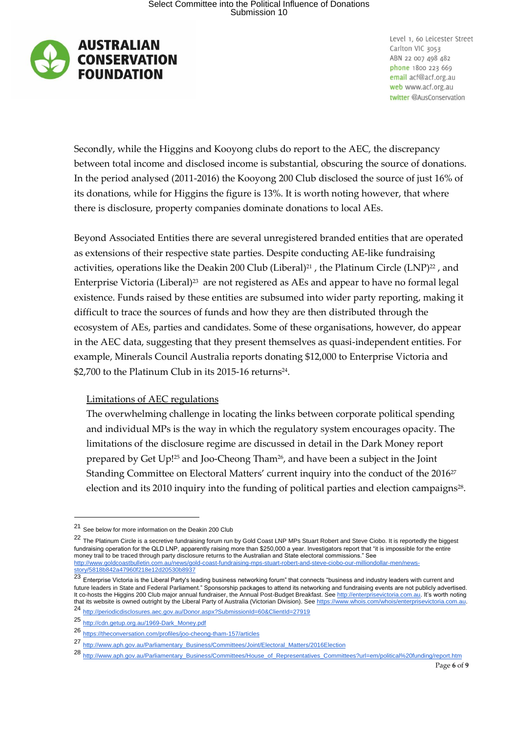

Secondly, while the Higgins and Kooyong clubs do report to the AEC, the discrepancy between total income and disclosed income is substantial, obscuring the source of donations. In the period analysed (2011-2016) the Kooyong 200 Club disclosed the source of just 16% of its donations, while for Higgins the figure is 13%. It is worth noting however, that where there is disclosure, property companies dominate donations to local AEs.

Beyond Associated Entities there are several unregistered branded entities that are operated as extensions of their respective state parties. Despite conducting AE-like fundraising activities, operations like the Deakin 200 Club (Liberal)<sup>21</sup>, the Platinum Circle (LNP)<sup>22</sup>, and Enterprise Victoria (Liberal)<sup>23</sup> are not registered as AEs and appear to have no formal legal existence. Funds raised by these entities are subsumed into wider party reporting, making it difficult to trace the sources of funds and how they are then distributed through the ecosystem of AEs, parties and candidates. Some of these organisations, however, do appear in the AEC data, suggesting that they present themselves as quasi-independent entities. For example, Minerals Council Australia reports donating \$12,000 to Enterprise Victoria and  $$2,700$  to the Platinum Club in its 2015-16 returns<sup>24</sup>.

## Limitations of AEC regulations

The overwhelming challenge in locating the links between corporate political spending and individual MPs is the way in which the regulatory system encourages opacity. The limitations of the disclosure regime are discussed in detail in the Dark Money report prepared by Get Up!<sup>25</sup> and Joo-Cheong Tham26, and have been a subject in the Joint Standing Committee on Electoral Matters' current inquiry into the conduct of the 2016<sup>27</sup> election and its 2010 inquiry into the funding of political parties and election campaigns $^{\rm 28}.$ 

-

<sup>21</sup> See below for more information on the Deakin 200 Club

<sup>22</sup> The Platinum Circle is a secretive fundraising forum run by Gold Coast LNP MPs Stuart Robert and Steve Ciobo. It is reportedly the biggest fundraising operation for the QLD LNP, apparently raising more than \$250,000 a year. Investigators report that "it is impossible for the entire money trail to be traced through party disclosure returns to the Australian and State electoral commissions." Se[e](http://www.goldcoastbulletin.com.au/news/gold-coast-fundraising-mps-stuart-robert-and-steve-ciobo-our-milliondollar-men/news-story/5818b842a47960f218e12d20530b8937) [http://www.goldcoastbulletin.com.au/news/gold-coast-fundraising-mps-stuart-robert-and-steve-ciobo-our-milliondollar-men/news](http://www.goldcoastbulletin.com.au/news/gold-coast-fundraising-mps-stuart-robert-and-steve-ciobo-our-milliondollar-men/news-story/5818b842a47960f218e12d20530b8937)[story/5818b842a47960f218e12d20530b8937](http://www.goldcoastbulletin.com.au/news/gold-coast-fundraising-mps-stuart-robert-and-steve-ciobo-our-milliondollar-men/news-story/5818b842a47960f218e12d20530b8937)

Enterprise Victoria is the Liberal Party's leading business networking forum" that connects "business and industry leaders with current and<br>Enterprise Victoria is the Liberal Party's leading business networking forum" that future leaders in State and Federal Parliament." Sponsorship packages to attend its networking and fundraising events are not publicly advertised. It co-hosts the Higgins 200 Club major annual fundraiser, the Annual Post-Budget Breakfast. See [http://enterprisevictoria.com.au.](http://enterprisevictoria.com.au/) It's worth noting that its website is owned outright by the Liberal Party of Australia (Victorian Division). See [https://www.whois.com/whois/enterprisevictoria.com.au.](https://www.whois.com/whois/enterprisevictoria.com.au) <sup>24</sup> <http://periodicdisclosures.aec.gov.au/Donor.aspx?SubmissionId=60&ClientId=27919>

<sup>25</sup> [http://cdn.getup.org.au/1969-Dark\\_Money.pdf](http://cdn.getup.org.au/1969-Dark_Money.pdf)

<sup>26</sup> <https://theconversation.com/profiles/joo-cheong-tham-157/articles>

<sup>27</sup> [http://www.aph.gov.au/Parliamentary\\_Business/Committees/Joint/Electoral\\_Matters/2016Election](http://www.aph.gov.au/Parliamentary_Business/Committees/Joint/Electoral_Matters/2016Election)

<sup>28</sup> [http://www.aph.gov.au/Parliamentary\\_Business/Committees/House\\_of\\_Representatives\\_Committees?url=em/political%20funding/report.htm](http://www.aph.gov.au/Parliamentary_Business/Committees/House_of_Representatives_Committees?url=em/political%20funding/report.htm)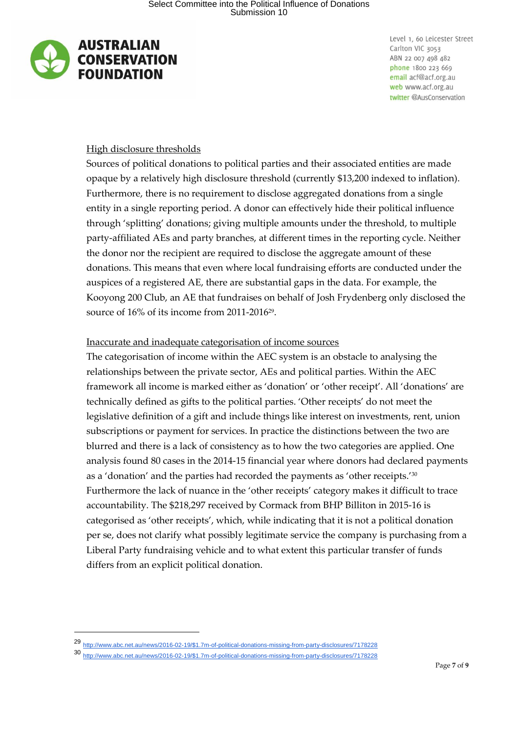

-

Level 1, 60 Leicester Street Carlton VIC 3053 ABN 22 007 498 482 phone 1800 223 669 email acf@acf.org.au web www.acf.org.au twitter @AusConservation

## High disclosure thresholds

Sources of political donations to political parties and their associated entities are made opaque by a relatively high disclosure threshold (currently \$13,200 indexed to inflation). Furthermore, there is no requirement to disclose aggregated donations from a single entity in a single reporting period. A donor can effectively hide their political influence through 'splitting' donations; giving multiple amounts under the threshold, to multiple party-affiliated AEs and party branches, at different times in the reporting cycle. Neither the donor nor the recipient are required to disclose the aggregate amount of these donations. This means that even where local fundraising efforts are conducted under the auspices of a registered AE, there are substantial gaps in the data. For example, the Kooyong 200 Club, an AE that fundraises on behalf of Josh Frydenberg only disclosed the source of 16% of its income from 2011-2016<sup>29</sup>.

#### Inaccurate and inadequate categorisation of income sources

The categorisation of income within the AEC system is an obstacle to analysing the relationships between the private sector, AEs and political parties. Within the AEC framework all income is marked either as 'donation' or 'other receipt'. All 'donations' are technically defined as gifts to the political parties. 'Other receipts' do not meet the legislative definition of a gift and include things like interest on investments, rent, union subscriptions or payment for services. In practice the distinctions between the two are blurred and there is a lack of consistency as to how the two categories are applied. One analysis found 80 cases in the 2014-15 financial year where donors had declared payments as a 'donation' and the parties had recorded the payments as 'other receipts.'<sup>30</sup> Furthermore the lack of nuance in the 'other receipts' category makes it difficult to trace accountability. The \$218,297 received by Cormack from BHP Billiton in 2015-16 is categorised as 'other receipts', which, while indicating that it is not a political donation per se, does not clarify what possibly legitimate service the company is purchasing from a Liberal Party fundraising vehicle and to what extent this particular transfer of funds differs from an explicit political donation.

<sup>29</sup> [http://www.abc.net.au/news/2016-02-19/\\$1.7m-of-political-donations-missing-from-party-disclosures/7178228](http://www.abc.net.au/news/2016-02-19/$1.7m-of-political-donations-missing-from-party-disclosures/7178228)

<sup>30</sup> [http://www.abc.net.au/news/2016-02-19/\\$1.7m-of-political-donations-missing-from-party-disclosures/7178228](http://www.abc.net.au/news/2016-02-19/$1.7m-of-political-donations-missing-from-party-disclosures/7178228)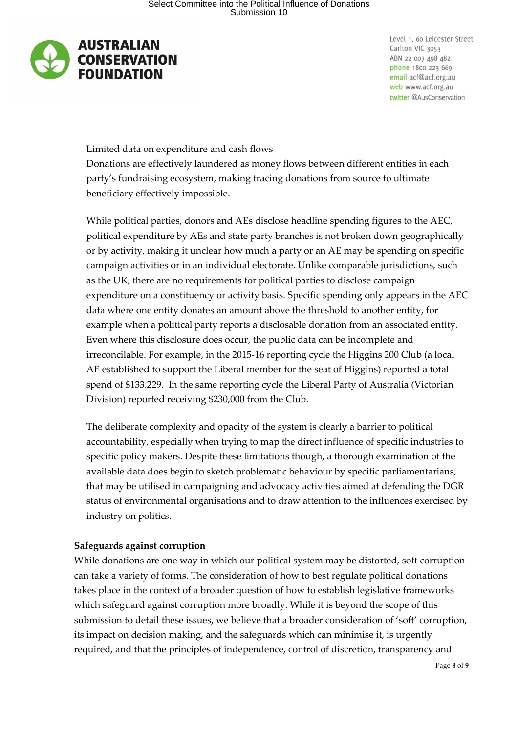

## Limited data on expenditure and cash flows

Donations are effectively laundered as money flows between different entities in each party's fundraising ecosystem, making tracing donations from source to ultimate beneficiary effectively impossible.

While political parties, donors and AEs disclose headline spending figures to the AEC, political expenditure by AEs and state party branches is not broken down geographically or by activity, making it unclear how much a party or an AE may be spending on specific campaign activities or in an individual electorate. Unlike comparable jurisdictions, such as the UK, there are no requirements for political parties to disclose campaign expenditure on a constituency or activity basis. Specific spending only appears in the AEC data where one entity donates an amount above the threshold to another entity, for example when a political party reports a disclosable donation from an associated entity. Even where this disclosure does occur, the public data can be incomplete and irreconcilable. For example, in the 2015-16 reporting cycle the Higgins 200 Club (a local AE established to support the Liberal member for the seat of Higgins) reported a total spend of \$133,229. In the same reporting cycle the Liberal Party of Australia (Victorian Division) reported receiving \$230,000 from the Club.

The deliberate complexity and opacity of the system is clearly a barrier to political accountability, especially when trying to map the direct influence of specific industries to specific policy makers. Despite these limitations though, a thorough examination of the available data does begin to sketch problematic behaviour by specific parliamentarians, that may be utilised in campaigning and advocacy activities aimed at defending the DGR status of environmental organisations and to draw attention to the influences exercised by industry on politics.

## **Safeguards against corruption**

While donations are one way in which our political system may be distorted, soft corruption can take a variety of forms. The consideration of how to best regulate political donations takes place in the context of a broader question of how to establish legislative frameworks which safeguard against corruption more broadly. While it is beyond the scope of this submission to detail these issues, we believe that a broader consideration of 'soft' corruption, its impact on decision making, and the safeguards which can minimise it, is urgently required, and that the principles of independence, control of discretion, transparency and